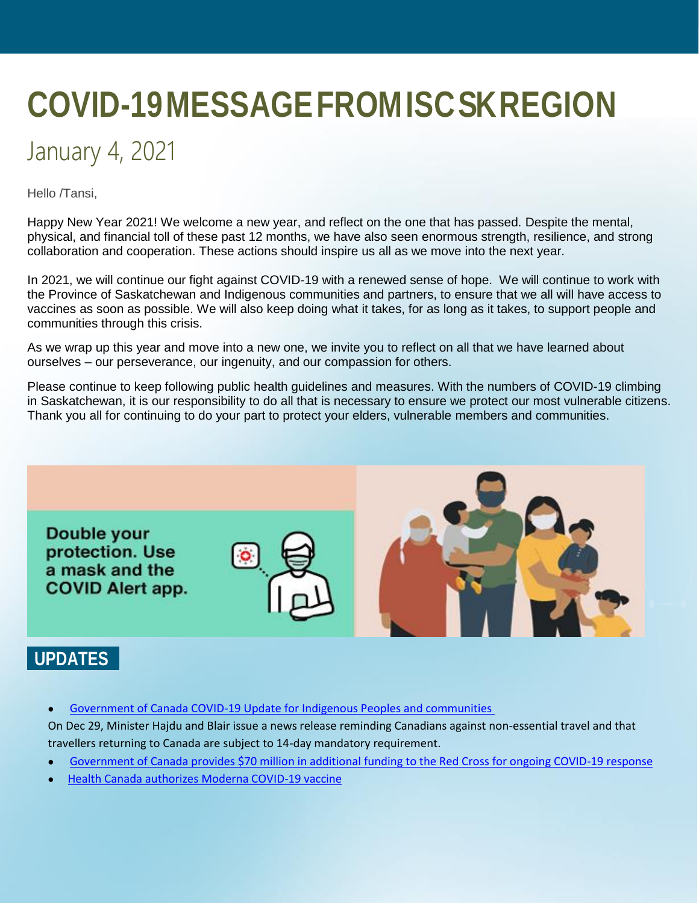# **COVID-19 MESSAGE FROM ISC SK REGION**

# January 4, 2021

Hello /Tansi,

Happy New Year 2021! We welcome a new year, and reflect on the one that has passed. Despite the mental, physical, and financial toll of these past 12 months, we have also seen enormous strength, resilience, and strong collaboration and cooperation. These actions should inspire us all as we move into the next year.

In 2021, we will continue our fight against COVID-19 with a renewed sense of hope. We will continue to work with the Province of Saskatchewan and Indigenous communities and partners, to ensure that we all will have access to vaccines as soon as possible. We will also keep doing what it takes, for as long as it takes, to support people and communities through this crisis.

As we wrap up this year and move into a new one, we invite you to reflect on all that we have learned about ourselves – our perseverance, our ingenuity, and our compassion for others.

Please continue to keep following public health guidelines and measures. With the numbers of COVID-19 climbing in Saskatchewan, it is our responsibility to do all that is necessary to ensure we protect our most vulnerable citizens. Thank you all for continuing to do your part to protect your elders, vulnerable members and communities.



### **UPDATES**

[Government of Canada COVID-19 Update for Indigenous Peoples and communities](https://www.canada.ca/en/indigenous-services-canada/news/2020/12/government-of-canada-covid-19-update-for-indigenous-peoples-and-communities2.html)

On Dec 29, Minister Hajdu and Blair issue a news release reminding Canadians against non-essential travel and that travellers returning to Canada are subject to 14-day mandatory requirement.

- [Government of Canada provides \\$70 million in additional funding to the Red Cross for ongoing COVID-19 response](https://www.canada.ca/en/public-safety-canada/news/2020/12/government-of-canada-provides-70-million-in-additional-funding-to-the-red-cross-for-ongoing-covid-19-response.html)
- [Health Canada authorizes Moderna COVID-19 vaccine](https://www.canada.ca/en/health-canada/news/2020/12/health-canada-authorizes-moderna-covid-19-vaccine.html)